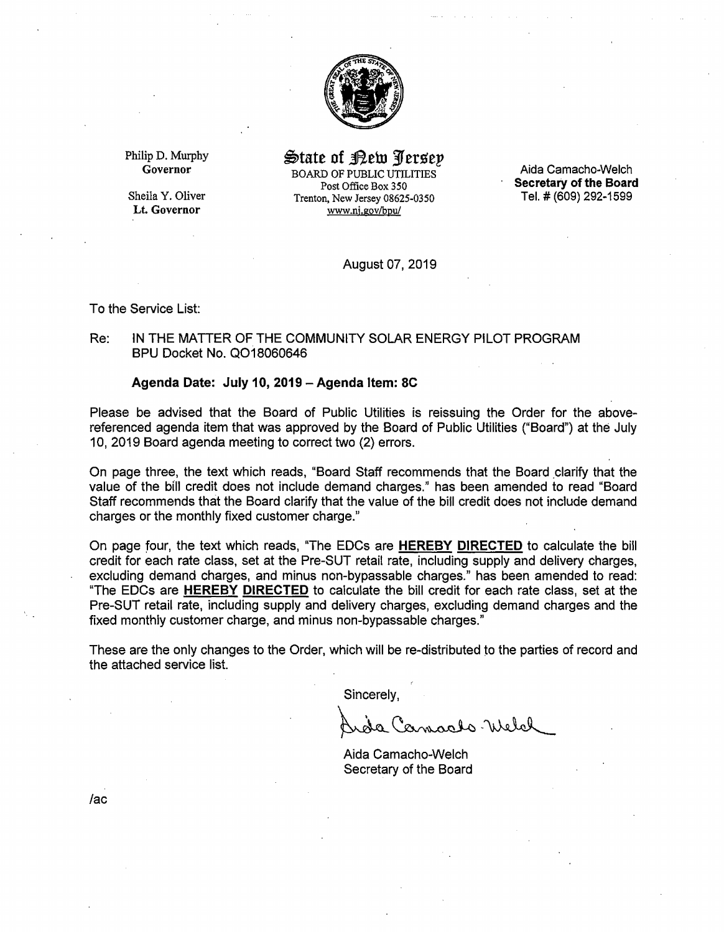

Philip D. Murphy Governor

Sheila Y. Oliver **Lt. Governor** 

State of <u>Pew Persep</u> BOARD OF PUBLIC UTILITIES Post Office Box 350 Trenton, New Jersey 08625-0350 www.nj.gov/bpu/

Aida Camacho-Welch **Secretary of the Board**  Tel.# (609) 292-1599

August 07, 2019

To the Service List:

# Re: IN THE MATTER OF THE COMMUNITY SOLAR ENERGY PILOT PROGRAM BPU Docket No. Q018060646

#### **Agenda Date: July 10, 2019** - **Agenda Item: 8C**

Please be advised that the Board of Public Utilities is reissuing the Order for the abovereferenced agenda item that was approved by the Board of Public Utilities ("Board") at the July 10, 2019 Board agenda meeting to correct two (2) errors.

On page three, the text which reads, "Board Staff recommends that the Board \_clarify that the value of the bill credit does not include demand charges." has been amended to read "Board Staff recommends that the Board clarify that the value of the bill credit does not include demand charges or the monthly fixed customer charge."

On page four, the text which reads, "The EDCs are **HEREBY DIRECTED** to calculate the bill credit for each rate class, set at the Pre-SUT retail rate, including supply and delivery charges, excluding demand charges, and minus non-bypassable charges." has been amended to read: "The EOCs are **HEREBY DIRECTED** to calculate the bill credit for each rate class, set at the Pre-SUT retail rate, including supply and delivery charges, excluding demand charges and the fixed monthly customer charge, and minus non-bypassable charges."

These are the only changes to the Order, which will be re-distributed to the parties of record and the attached service list.

Sincerely,

amacho Welch

Aida Camacho-Welch Secretary of the Board

*lac*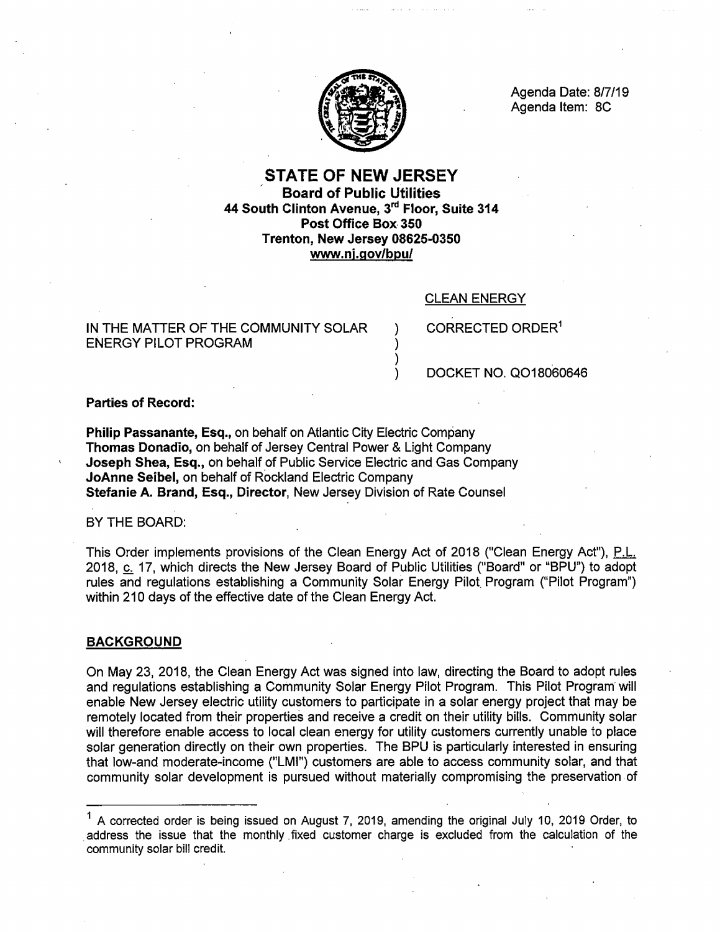

Agenda Date: 8/7/19 Agenda Item: SC

# STATE OF NEW JERSEY Board of Public Utilities 44 South Clinton Avenue, 3rd Floor, Suite 314 Post Office Box- 350 Trenton, New Jersey 08625-0350 www.nj.gov/bpu/

) ) ) )

## CLEAN ENERGY

IN THE MATTER OF THE COMMUNITY SOLAR ENERGY PILOT PROGRAM

CORRECTED ORDER<sup>1</sup>

DOCKET NO. Q018060646

## **Parties of Record:**

**Philip Passanante, Esq.,** on behalf on Atlantic City Electric Company **Thomas Donadio,** on behalf of Jersey Central Power & Light Company **Joseph Shea, Esq.,** on behalf of Public Service Electric and Gas Company **JoAnne Seibel,** on behalf of Rockland Electric Company **Stefanie A. Brand, Esq., Director,** New Jersey Division of Rate Counsel

BY THE BOARD:

This Order implements provisions of the Clean Energy Act of 2018 ("Clean Energy Act"), P.L. 2018, c. 17, which directs the New Jersey Board of Public Utilities ("Board" or "BPU") to adopt rules and regulations establishing a Community Solar Energy Pilot. Program ("Pilot Program") within 210 days of the effective date of the Clean Energy Act.

## **BACKGROUND**

On May 23, 2018, the Clean Energy Act was signed into law, directing the Board to adopt rules and regulations establishing a Community Solar Energy Pilot Program. This Pilot Program will enable New Jersey electric utility customers to participate in a solar energy project that may be remotely located from their properties and receive a credit on their utility bills. Community solar will therefore enable access to local clean energy for utility customers currently unable to place solar generation directly on their own properties. The BPU is particularly interested in ensuring that low-and moderate-income ("LMI") customers are able to access community solar, and that community solar development is pursued without materially compromising the preservation of

 $<sup>1</sup>$  A corrected order is being issued on August 7, 2019, amending the original July 10, 2019 Order, to</sup> address the issue that the monthly fixed customer charge is excluded from the calculation of the community solar bill credit.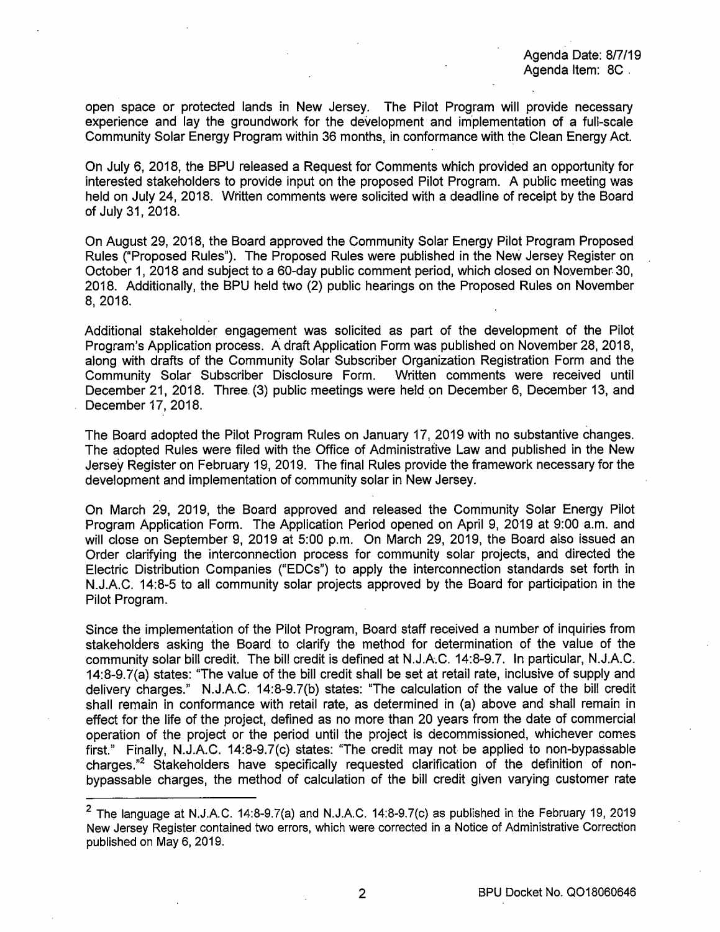Agenda Date: 8/7/19 Agenda Item: BC .

open space or protected lands in New Jersey. The Pilot Program will provide necessary experience and lay the groundwork for the development and implementation of a full-scale Community Solar Energy Program within 36 months, in conformance with the Clean Energy Act.

On July 6, 2018, the BPU released a Request for Comments which provided an opportunity for interested stakeholders to provide input on the proposed Pilot Program. A public meeting was held on July 24, 2018. Written comments were solicited with a deadline of receipt by the Board of July 31, 2018.

On August 29, 2018, the Board approved the Community Solar Energy Pilot Program Proposed Rules ("Proposed Rules"). The Proposed Rules were published in the New Jersey Register on October 1, 2018 and subject to a 60-day public comment period, which closed on November. 30, 2018. Additionally, the BPU held two (2) public hearings on the Proposed Rules on November 8, 2018.

Additional stakeholder engagement was solicited as part of the development of the Pilot Program's Application process. A draft Application Form was published on November 28, 2018, along with drafts of the Community Solar Subscriber Organization Registration Form and the Community Solar Subscriber Disclosure Form. December 21, 2018. Three. (3) public meetings were held on December 6, December 13, and December 17, 2018.

The Board adopted the Pilot Program Rules on January 17, 2019 with no substantive changes. The adopted Rules were filed with the Office of Administrative Law and published in the New Jersey Register on February 19, 2019. The final Rules provide the framework necessary for the development and implementation of community solar in New Jersey.

On March 29, 2019, the Board approved and released the Community Solar Energy Pilot Program Application Form. The Application Period opened on April 9, 2019 at 9:00 a.m. and will close on September 9, 2019 at 5:00 p.m. On March 29, 2019, the Board also issued an Order clarifying the interconnection process for community solar projects, and directed the Electric Distribution Companies ("EDCs") to apply the interconnection standards set forth in N.J.A.C. 14:8-5 to all community solar projects approved by the Board for participation in the Pilot Program.

Since the implementation of the Pilot Program, Board staff received a number of inquiries from stakeholders asking the Board to clarify the method for determination of the value of the community solar bill credit. The bill credit is defined at N.J.A.C. 14:8-9.7. In particular, N.J.A.C. 14:8-9.7(a) states: "The value of the bill credit shall be set at retail rate, inclusive of supply and delivery charges." N.J.A.C. 14:8-9.7{b) states: "The calculation of the value of the bill credit shall remain in conformance with retail rate, as determined in (a) above and shall remain in effect for the life of the project, defined as no more than 20 years from the date of commercial operation of the project or the period until the project is decommissioned, whichever comes first." Finally, N.J.A.C. 14:8-9.7(c) states: "The credit may not be applied to non-bypassable charges."2 Stakeholders have specifically requested clarification of the definition of nonbypassable charges, the method of calculation of the bill credit given varying customer rate

 $2$  The language at N.J.A.C. 14:8-9.7(a) and N.J.A.C. 14:8-9.7(c) as published in the February 19, 2019 New Jersey Register contained two errors, which were corrected in a Notice of Administrative Correction published on May 6, 2019.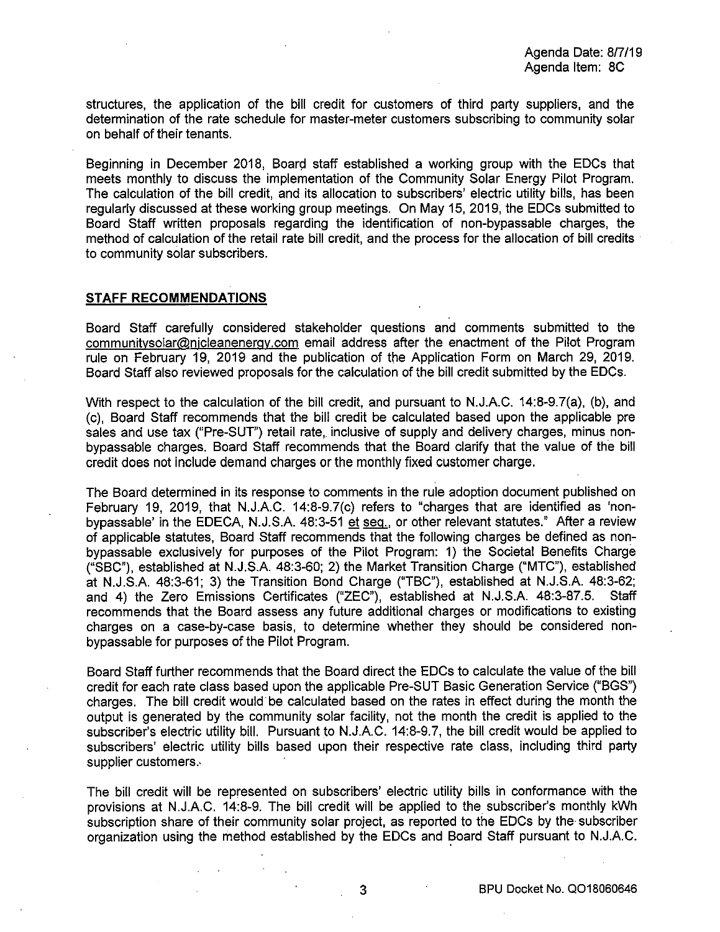structures, the application of the bill credit for customers of third party suppliers, and the determination of the rate schedule for master-meter customers subscribing to community solar on behalf of their tenants.

Beginning in December 2018, Board staff established a working group with the EDCs that meets monthly to discuss the implementation of the Community Solar Energy Pilot Program. The calculation of the bill credit, and its allocation to subscribers' electric utility bills, has been regularly discussed at these working group meetings. On May 15, 2019, the EDCs submitted to Board Staff written proposals regarding the identification of non-bypassable charges, the method of calculation of the retail rate bill credit, and the process for the allocation of bill credits is to community solar subscribers.

#### **STAFF RECOMMENDATIONS**

Board Staff carefully considered stakeholder questions and comments submitted to the communitysolar@njcleanenergy.com email address after the enactment of the Pilot Program rule on February 19, 2019 and the publication of the Application Form on March 29, 2019. Board Staff also reviewed proposals for the calculation of the bill credit submitted by the EDCs.

With respect to the calculation of the bill credit, and pursuant to N.J.A.C. 14:8-9.7(a), (b}, and (c), Board Staff recommends that the bill credit be calculated based upon the applicable pre sales and use tax ("Pre-SUT") retail rate, inclusive of supply and delivery charges, minus nonbypassable charges. Board Staff recommends that the Board clarify that the value of the bill credit does not include demand charges or the monthly fixed customer charge.

The Board determined in its response to comments in the rule adoption docurnent published on February 19, 2019, that N.J.A.C. 14:8-9.7(c) refers to "charges that are identified as 'nonbypassable' in the EDECA, N.J.S.A. 48:3-51 et seq., or other relevant statutes." After a review of applicable statutes, Board Staff recommends that the following charges be defined as nonbypassable exclusively for purposes of the Pilot Program: 1) the Societal Benefits Charge ("SBC"}, established at N.J.S.A. 48:3-60; 2) the Market Transition Charge ("MTC"), established at N.J.S.A. 48:3-61; 3) the Transition Bond Charge ("TBC"), established at N.J.S.A. 48:3-62; and 4) the Zero Emissions Certificates ("ZEC"), established at N.J.S.A. 48:3-87.5. Staff recommends that the Board assess any future additional charges or modifications to existing charges on .a case-by-case basis, to determine whether they should be considered nonbypassable for purposes of the Pilot Program.

Board Staff further recommends that the Board direct the EDCs to calculate the value of the bill credit for each rate class based upon the applicable Pre-SUT Basic Generation Service ("BGS") charges. The bill credit would be calculated based on the rates in effect during the month the output is generated by the community solar facility, not the month the credit is applied to the subscriber's electric utility bill. Pursuant to N.J.A.C. 14:8-9.7, the bill credit would be applied to subscribers' electric utility bills based upon their respective rate class, including third party supplier customers.

The bill credit will be represented on subscribers' electric utility bills in conformance with the provisions at N.J.A.C. 14:8-9. The bill credit will be applied to the subscriber's monthly kWh subscription share of their community solar project, as reported to the EDCs by the subscriber organization using the method established by the EDCs and Board Staff pursuant to N.J.A.C.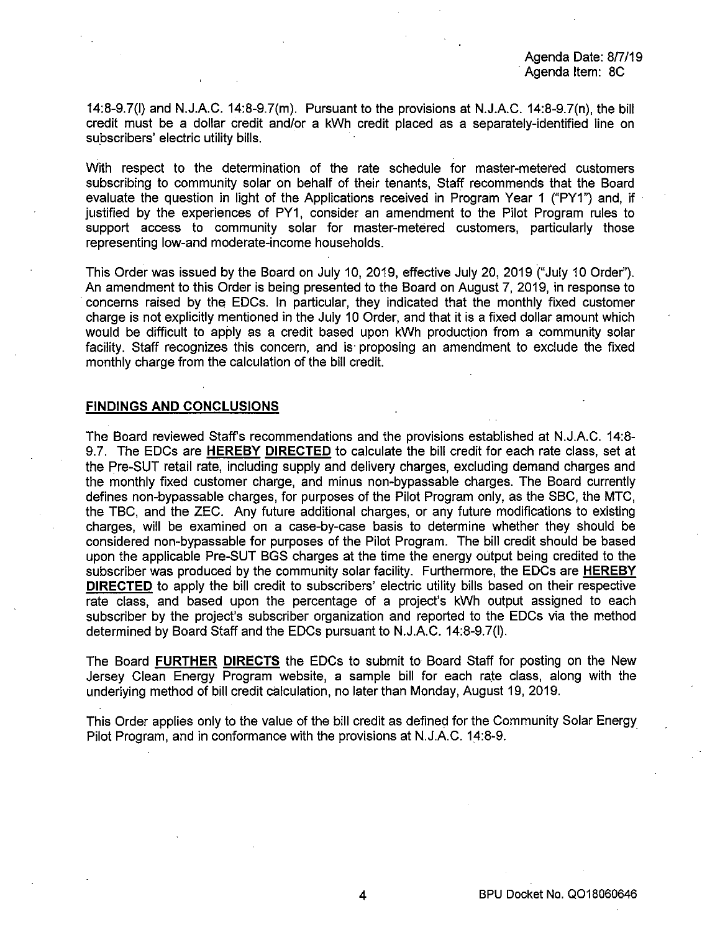Agenda Date: 8/7/19 Agenda Item: 8C

14:8-9.7(1) and N.J.A.C. 14:8-9.7(m). Pursuant to the provisions at N.J.A.C. 14:8-9.7(n), the bill credit must be a dollar credit and/or a kWh credit placed as a separately-identified line on subscribers' electric utility bills.

With respect to the determination of the rate schedule for master-metered customers subscribing to community solar on behalf of their tenants, Staff recommends that the Board evaluate the question in light of the Applications received in Program Year 1 ("PY1") and, if justified by the experiences of PY1, consider an amendment to the Pilot Program rules to support access to community solar for master-metered customers, particularly those representing low-and moderate-income households.

This Order was issued by the Board on July 10, 2019, effective July 20, 2019 ("July 10 Order''). An amendment to this Order is being presented to the Board on August 7, 2019, in response to · concerns raised by the EDCs. In particular, they indicated that the monthly fixed customer charge is not explicitly mentioned in the July 10 Order, and that it is a fixed dollar amount which would be difficult to apply as a credit based upon kWh production from a community solar facility. Staff recognizes this concern, and is· proposing an amendment to exclude the fixed monthly charge from the calculation of the bill credit.

## **FINDINGS AND CONCLUSIONS**

The Board reviewed Staff's recommendations and the provisions established at N.J.A.C. 14:8- 9.7. The EDCs are **HEREBY DIRECTED** to calculate the bill credit for each rate class, set at the Pre-SUT retail rate, including supply and delivery charges, excluding demand charges and the monthly fixed customer charge, and minus non-bypassable charges. The Board currently defines non-bypassable charges, for purposes of the Pilot Program only, as the SBC, the MTC, the TBC, and the ZEC. Any future additional charges, or any future modifications to existing charges, will be examined on a case-by-case basis to determine whether they should be considered non-bypassable for purposes of the Pilot Program. The bill credit should be based upon the applicable Pre-SUT BGS charges at the time the energy output being credited to the subscriber was produced by the community solar facility. Furthermore, the EDCs are **HEREBY DIRECTED** to apply the bill credit to subscribers' electric utility bills based on their respective rate class, and based upon the percentage of a project's kWh output assigned to each subscriber by the project's subscriber organization and reported to the EDCs via the method determined by Board Staff and the EDCs pursuant to N.J.A.C. 14:8-9.7(1).

The Board **FURTHER DIRECTS** the EDCs to submit to Board Staff for posting on the New Jersey Clean Energy Program website, a sample bill for each rate class, along with the underlying method of bill credit calculation, no later than Monday, August 19, 2019.

This Order applies only to the value of the bill credit as defined for the Community Solar Energy Pilot Program, and in conformance with the provisions at N.J.A.C. 14:8-9.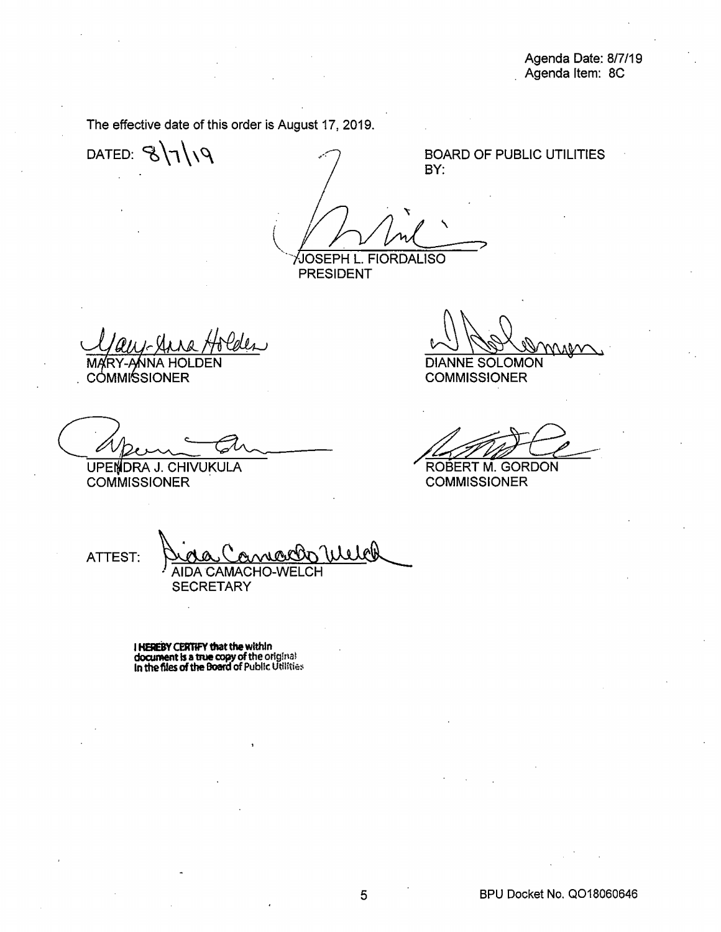The effective date of this order is August 17, 2019.

DATED:  $8719$ 

BOARD OF PUBLIC UTILITIES **BY:** 

 $\setminus$  $\checkmark$ ·--. JOSEPH L. FIORDALISO

PRESIDENT

. cómmi⁄ssioner

UPENDRA J. CHIVUKULA **COMMISSIONER** 

DIANNE SOLOMON NOW WARRESOLOMON<br>COMMISSIONER<br>ROBERT M. GORDON<br>COMMISSIONER

COMMISSIONER

**COMMISSIONER** 

ATTEST: Dichae Connaction Welch **SECRETARY** 

I **HEREBY CEA11fY that the within document is a true copy of the original In the files of the Board of Public Utilities**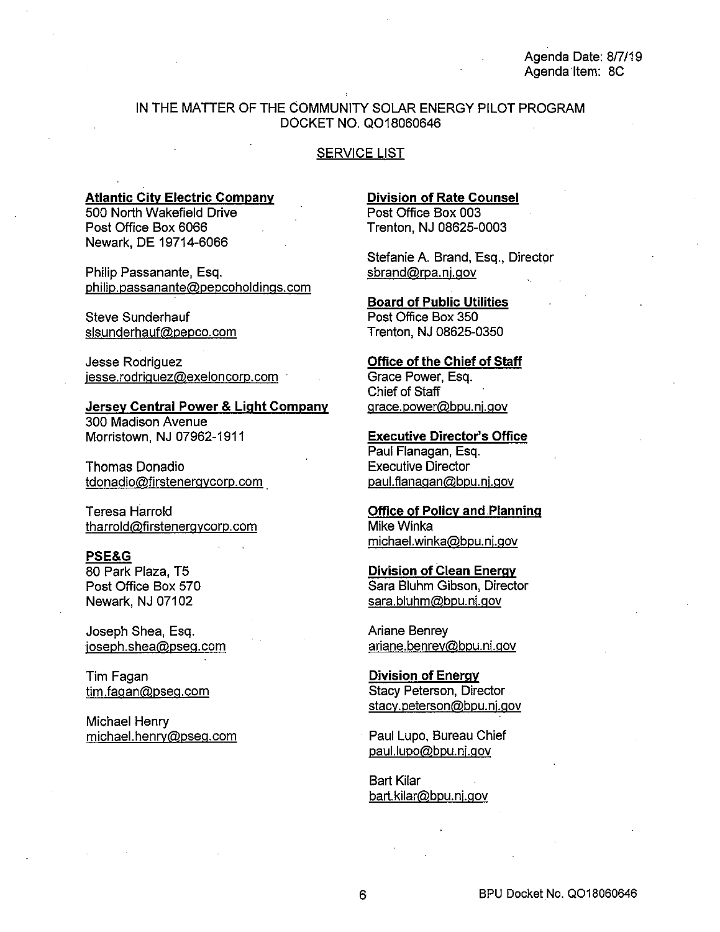## IN THE MATTER OF THE COMMUNITY SOLAR ENERGY PILOT PROGRAM DOCKET NO. Q018060646

#### SERVICE LIST

#### **Atlantic City Electric Company**

500 North Wakefield Drive Post Office Box 6066 Newark, DE 19714-6066

Philip Passanante, Esq. philip.passanante@pepcoholdings.com

Steve Sunderhauf slsunderhauf@pepco.com

Jesse Rodriguez jesse.rodriguez@exeloncorp.com

**Jersey Central Power & Light Company**  300 Madison Avenue Morristown, NJ 07962-1911

Thomas Donadio tdonadio@firstenergycorp.com .

Teresa Harrold tharrold@firstenergycorp.com

## **PSE&G**

80 Park Plaza, T5 Post Office Box 570 Newark, NJ 07102

Joseph Shea, Esq. joseph.shea@pseg.com

Tim Fagan tim.fagan@pseg.com

Michael Henry michael.henry@pseg.com **Division of Rate Counsel**  Post Office Box 003 Trenton, NJ 08625-0003

Stefanie A. Brand, Esq., Director sbrand@rpa.nj.gov

**Board of Public Utilities**  Post Office Box 350 Trenton, NJ 08625-0350

**Office of the Chief of Staff**  Grace Power, Esq. Chief of Staff grace.power@bpu.nj.gov

**Executive Director's Office**  Paul Flanagan, Esq. Executive Director paul.flanagan@bpu.nj.gov

**Office of Policy and Planning**  Mike Winka michael.winka@bpu.nj.gov

**Division of Clean Energy**  Sara Bluhm Gibson, Director sara.bluhm@bpu.nj.gov

Ariane Benrey ariane.benrey@bpu.nj.gov

**Division of Energy**  Stacy Peterson, Director stacy.peterson@bpu.nj.gov

Paul Lupo, Bureau Chief paul.lupo@bpu.nj.gov

Bart Kilar bart.kilar@bpu.nj.gov